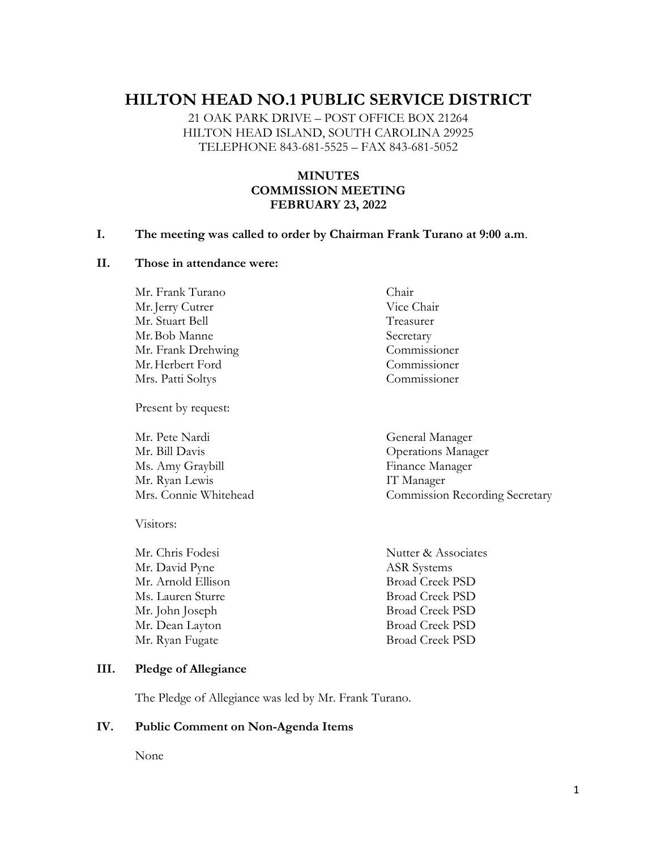# **HILTON HEAD NO.1 PUBLIC SERVICE DISTRICT**

21 OAK PARK DRIVE – POST OFFICE BOX 21264 HILTON HEAD ISLAND, SOUTH CAROLINA 29925 TELEPHONE 843-681-5525 – FAX 843-681-5052

#### **MINUTES COMMISSION MEETING FEBRUARY 23, 2022**

#### **I. The meeting was called to order by Chairman Frank Turano at 9:00 a.m**.

#### **II. Those in attendance were:**

Mr. Frank Turano Chair Mr. Jerry Cutrer Vice Chair Mr. Stuart Bell Treasurer Mr. Bob Manne Secretary Mr. Frank Drehwing Commissioner Mr.Herbert Ford Commissioner Mrs. Patti Soltys Commissioner

Present by request:

Mr. Bill Davis Operations Manager Ms. Amy Graybill Finance Manager Mr. Ryan Lewis IT Manager

Visitors:

Mr. David Pyne ASR Systems Mr. Arnold Ellison Broad Creek PSD Ms. Lauren Sturre Broad Creek PSD Mr. John Joseph Broad Creek PSD Mr. Dean Layton Broad Creek PSD Mr. Ryan Fugate Broad Creek PSD

Mr. Pete Nardi General Manager Mrs. Connie Whitehead Commission Recording Secretary

Mr. Chris Fodesi Nutter & Associates

#### **III. Pledge of Allegiance**

The Pledge of Allegiance was led by Mr. Frank Turano.

#### **IV. Public Comment on Non-Agenda Items**

None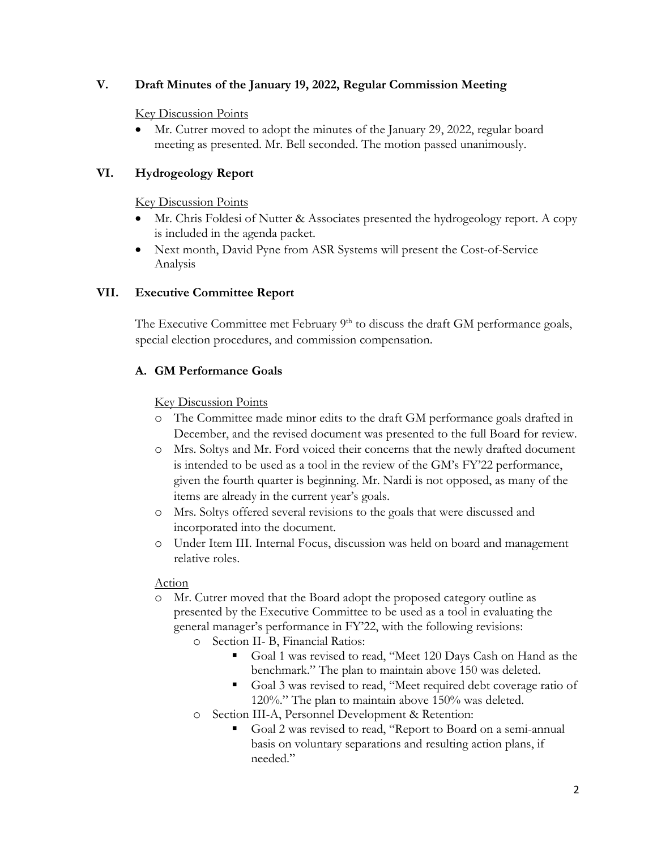#### **V. Draft Minutes of the January 19, 2022, Regular Commission Meeting**

#### Key Discussion Points

• Mr. Cutrer moved to adopt the minutes of the January 29, 2022, regular board meeting as presented. Mr. Bell seconded. The motion passed unanimously.

# **VI. Hydrogeology Report**

Key Discussion Points

- Mr. Chris Foldesi of Nutter & Associates presented the hydrogeology report. A copy is included in the agenda packet.
- Next month, David Pyne from ASR Systems will present the Cost-of-Service Analysis

# **VII. Executive Committee Report**

The Executive Committee met February  $9<sup>th</sup>$  to discuss the draft GM performance goals, special election procedures, and commission compensation.

# **A. GM Performance Goals**

#### Key Discussion Points

- o The Committee made minor edits to the draft GM performance goals drafted in December, and the revised document was presented to the full Board for review.
- o Mrs. Soltys and Mr. Ford voiced their concerns that the newly drafted document is intended to be used as a tool in the review of the GM's FY'22 performance, given the fourth quarter is beginning. Mr. Nardi is not opposed, as many of the items are already in the current year's goals.
- o Mrs. Soltys offered several revisions to the goals that were discussed and incorporated into the document.
- o Under Item III. Internal Focus, discussion was held on board and management relative roles.

# Action

- o Mr. Cutrer moved that the Board adopt the proposed category outline as presented by the Executive Committee to be used as a tool in evaluating the general manager's performance in FY'22, with the following revisions:
	- o Section II- B, Financial Ratios:
		- Goal 1 was revised to read, "Meet 120 Days Cash on Hand as the benchmark." The plan to maintain above 150 was deleted.
		- Goal 3 was revised to read, "Meet required debt coverage ratio of 120%." The plan to maintain above 150% was deleted.
	- o Section III-A, Personnel Development & Retention:
		- Goal 2 was revised to read, "Report to Board on a semi-annual basis on voluntary separations and resulting action plans, if needed."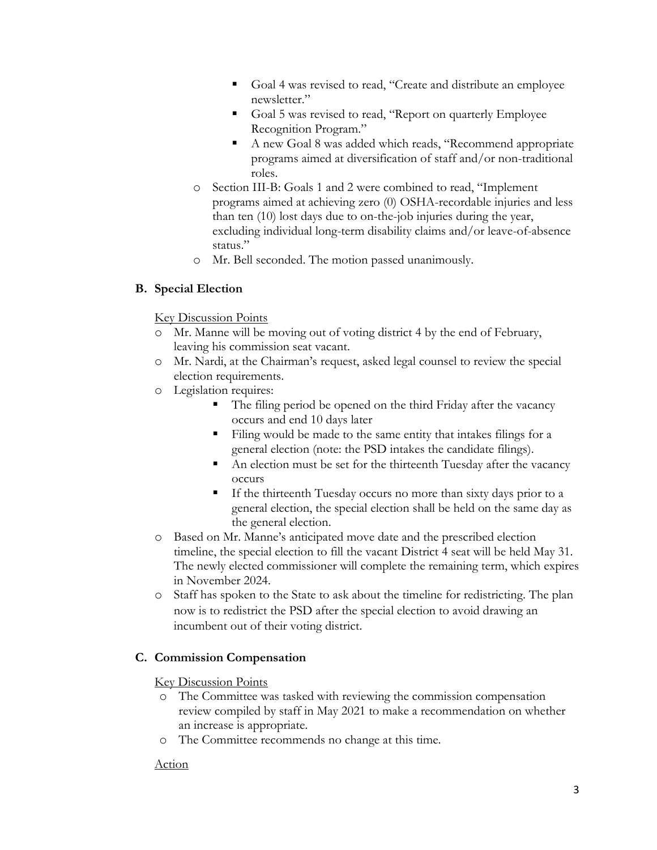- Goal 4 was revised to read, "Create and distribute an employee newsletter."
- Goal 5 was revised to read, "Report on quarterly Employee Recognition Program."
- A new Goal 8 was added which reads, "Recommend appropriate programs aimed at diversification of staff and/or non-traditional roles.
- o Section III-B: Goals 1 and 2 were combined to read, "Implement programs aimed at achieving zero (0) OSHA-recordable injuries and less than ten (10) lost days due to on-the-job injuries during the year, excluding individual long-term disability claims and/or leave-of-absence status."
- o Mr. Bell seconded. The motion passed unanimously.

# **B. Special Election**

# Key Discussion Points

- o Mr. Manne will be moving out of voting district 4 by the end of February, leaving his commission seat vacant.
- o Mr. Nardi, at the Chairman's request, asked legal counsel to review the special election requirements.
- o Legislation requires:
	- The filing period be opened on the third Friday after the vacancy occurs and end 10 days later
	- Filing would be made to the same entity that intakes filings for a general election (note: the PSD intakes the candidate filings).
	- An election must be set for the thirteenth Tuesday after the vacancy occurs
	- If the thirteenth Tuesday occurs no more than sixty days prior to a general election, the special election shall be held on the same day as the general election.
- o Based on Mr. Manne's anticipated move date and the prescribed election timeline, the special election to fill the vacant District 4 seat will be held May 31. The newly elected commissioner will complete the remaining term, which expires in November 2024.
- o Staff has spoken to the State to ask about the timeline for redistricting. The plan now is to redistrict the PSD after the special election to avoid drawing an incumbent out of their voting district.

# **C. Commission Compensation**

Key Discussion Points

- o The Committee was tasked with reviewing the commission compensation review compiled by staff in May 2021 to make a recommendation on whether an increase is appropriate.
- o The Committee recommends no change at this time.

# Action